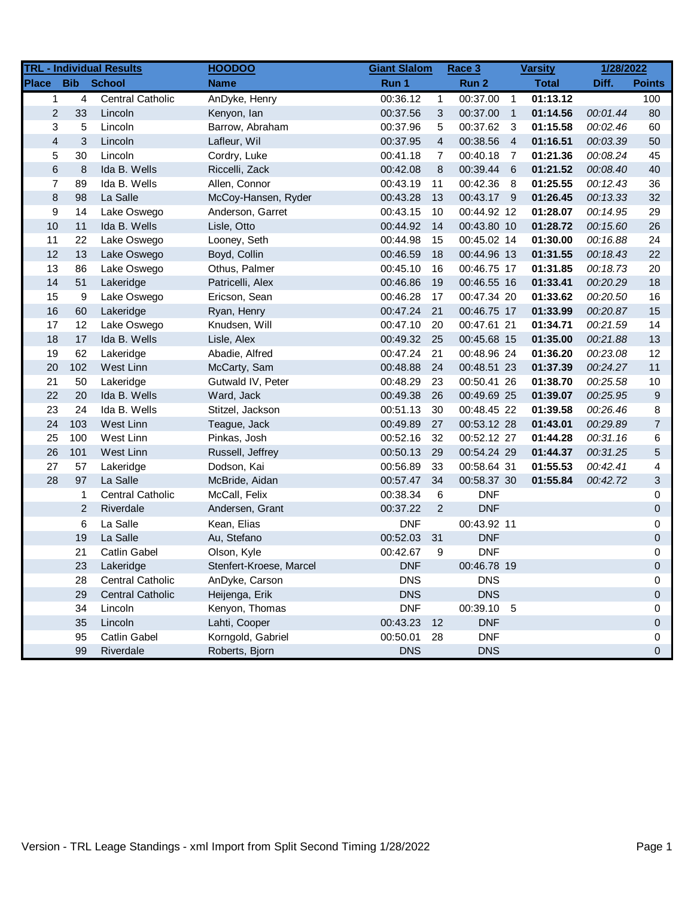| <b>TRL - Individual Results</b> |                |                         | <b>HOODOO</b>           | <b>Giant Slalom</b> |                | Race 3      | <b>Varsity</b> |              | 1/28/2022 |                |
|---------------------------------|----------------|-------------------------|-------------------------|---------------------|----------------|-------------|----------------|--------------|-----------|----------------|
| <b>Place</b>                    |                | <b>Bib</b> School       | <b>Name</b>             | Run 1               |                | Run 2       |                | <b>Total</b> | Diff.     | <b>Points</b>  |
| $\mathbf{1}$                    | 4              | <b>Central Catholic</b> | AnDyke, Henry           | 00:36.12            | $\mathbf{1}$   | 00:37.00    | $\overline{1}$ | 01:13.12     |           | 100            |
| $\overline{c}$                  | 33             | Lincoln                 | Kenyon, lan             | 00:37.56            | 3              | 00:37.00    | $\overline{1}$ | 01:14.56     | 00:01.44  | 80             |
| 3                               | 5              | Lincoln                 | Barrow, Abraham         | 00:37.96            | 5              | 00:37.62    | $\mathbf{3}$   | 01:15.58     | 00:02.46  | 60             |
| $\overline{4}$                  | 3              | Lincoln                 | Lafleur, Wil            | 00:37.95            | $\overline{4}$ | 00:38.56    | $\overline{4}$ | 01:16.51     | 00:03.39  | 50             |
| 5                               | 30             | Lincoln                 | Cordry, Luke            | 00:41.18            | 7              | 00:40.18    | - 7            | 01:21.36     | 00:08.24  | 45             |
| 6                               | 8              | Ida B. Wells            | Riccelli, Zack          | 00:42.08            | 8              | 00:39.44 6  |                | 01:21.52     | 00:08.40  | 40             |
| 7                               | 89             | Ida B. Wells            | Allen, Connor           | 00:43.19            | 11             | 00:42.36    | - 8            | 01:25.55     | 00:12.43  | 36             |
| $\bf 8$                         | 98             | La Salle                | McCoy-Hansen, Ryder     | 00:43.28            | 13             | 00:43.17 9  |                | 01:26.45     | 00:13.33  | 32             |
| 9                               | 14             | Lake Oswego             | Anderson, Garret        | 00:43.15            | 10             | 00:44.92 12 |                | 01:28.07     | 00:14.95  | 29             |
| $10$                            | 11             | Ida B. Wells            | Lisle, Otto             | 00:44.92            | 14             | 00:43.80 10 |                | 01:28.72     | 00:15.60  | 26             |
| 11                              | 22             | Lake Oswego             | Looney, Seth            | 00:44.98            | 15             | 00:45.02 14 |                | 01:30.00     | 00:16.88  | 24             |
| 12                              | 13             | Lake Oswego             | Boyd, Collin            | 00:46.59            | 18             | 00:44.96 13 |                | 01:31.55     | 00:18.43  | 22             |
| 13                              | 86             | Lake Oswego             | Othus, Palmer           | 00:45.10            | 16             | 00:46.75 17 |                | 01:31.85     | 00:18.73  | 20             |
| 14                              | 51             | Lakeridge               | Patricelli, Alex        | 00:46.86            | 19             | 00:46.55 16 |                | 01:33.41     | 00:20.29  | 18             |
| 15                              | 9              | Lake Oswego             | Ericson, Sean           | 00:46.28            | 17             | 00:47.34 20 |                | 01:33.62     | 00:20.50  | 16             |
| 16                              | 60             | Lakeridge               | Ryan, Henry             | 00:47.24            | 21             | 00:46.75 17 |                | 01:33.99     | 00:20.87  | 15             |
| 17                              | 12             | Lake Oswego             | Knudsen, Will           | 00:47.10            | 20             | 00:47.61 21 |                | 01:34.71     | 00:21.59  | 14             |
| 18                              | 17             | Ida B. Wells            | Lisle, Alex             | 00:49.32            | - 25           | 00:45.68 15 |                | 01:35.00     | 00:21.88  | 13             |
| 19                              | 62             | Lakeridge               | Abadie, Alfred          | 00:47.24            | 21             | 00:48.96 24 |                | 01:36.20     | 00:23.08  | 12             |
| 20                              | 102            | West Linn               | McCarty, Sam            | 00:48.88            | 24             | 00:48.51 23 |                | 01:37.39     | 00:24.27  | 11             |
| 21                              | 50             | Lakeridge               | Gutwald IV, Peter       | 00:48.29            | 23             | 00:50.41 26 |                | 01:38.70     | 00:25.58  | 10             |
| 22                              | 20             | Ida B. Wells            | Ward, Jack              | 00:49.38            | 26             | 00:49.69 25 |                | 01:39.07     | 00:25.95  | 9              |
| 23                              | 24             | Ida B. Wells            | Stitzel, Jackson        | 00:51.13            | 30             | 00:48.45 22 |                | 01:39.58     | 00:26.46  | 8              |
| 24                              | 103            | West Linn               | Teague, Jack            | 00:49.89            | 27             | 00:53.12 28 |                | 01:43.01     | 00:29.89  | $\overline{7}$ |
| 25                              | 100            | West Linn               | Pinkas, Josh            | 00:52.16            | 32             | 00:52.12 27 |                | 01:44.28     | 00:31.16  | 6              |
| 26                              | 101            | West Linn               | Russell, Jeffrey        | 00:50.13            | 29             | 00:54.24 29 |                | 01:44.37     | 00:31.25  | 5              |
| 27                              | 57             | Lakeridge               | Dodson, Kai             | 00:56.89            | 33             | 00:58.64 31 |                | 01:55.53     | 00:42.41  | 4              |
| 28                              | 97             | La Salle                | McBride, Aidan          | 00:57.47            | 34             | 00:58.37 30 |                | 01:55.84     | 00:42.72  | 3              |
|                                 | 1              | <b>Central Catholic</b> | McCall, Felix           | 00:38.34            | 6              | <b>DNF</b>  |                |              |           | 0              |
|                                 | $\overline{2}$ | Riverdale               | Andersen, Grant         | 00:37.22            | $\overline{2}$ | <b>DNF</b>  |                |              |           | 0              |
|                                 | 6              | La Salle                | Kean, Elias             | <b>DNF</b>          |                | 00:43.92 11 |                |              |           | 0              |
|                                 | 19             | La Salle                | Au, Stefano             | 00:52.03            | 31             | <b>DNF</b>  |                |              |           | 0              |
|                                 | 21             | <b>Catlin Gabel</b>     | Olson, Kyle             | 00:42.67            | 9              | <b>DNF</b>  |                |              |           | 0              |
|                                 | 23             | Lakeridge               | Stenfert-Kroese, Marcel | <b>DNF</b>          |                | 00:46.78 19 |                |              |           | $\Omega$       |
|                                 | 28             | <b>Central Catholic</b> | AnDyke, Carson          | <b>DNS</b>          |                | <b>DNS</b>  |                |              |           | 0              |
|                                 | 29             | <b>Central Catholic</b> | Heijenga, Erik          | <b>DNS</b>          |                | <b>DNS</b>  |                |              |           | 0              |
|                                 | 34             | Lincoln                 | Kenyon, Thomas          | <b>DNF</b>          |                | 00:39.10 5  |                |              |           | 0              |
|                                 | 35             | Lincoln                 | Lahti, Cooper           | 00:43.23            | 12             | <b>DNF</b>  |                |              |           | 0              |
|                                 | 95             | <b>Catlin Gabel</b>     | Korngold, Gabriel       | 00:50.01            | 28             | <b>DNF</b>  |                |              |           | 0              |
|                                 | 99             | Riverdale               | Roberts, Bjorn          | <b>DNS</b>          |                | <b>DNS</b>  |                |              |           | 0              |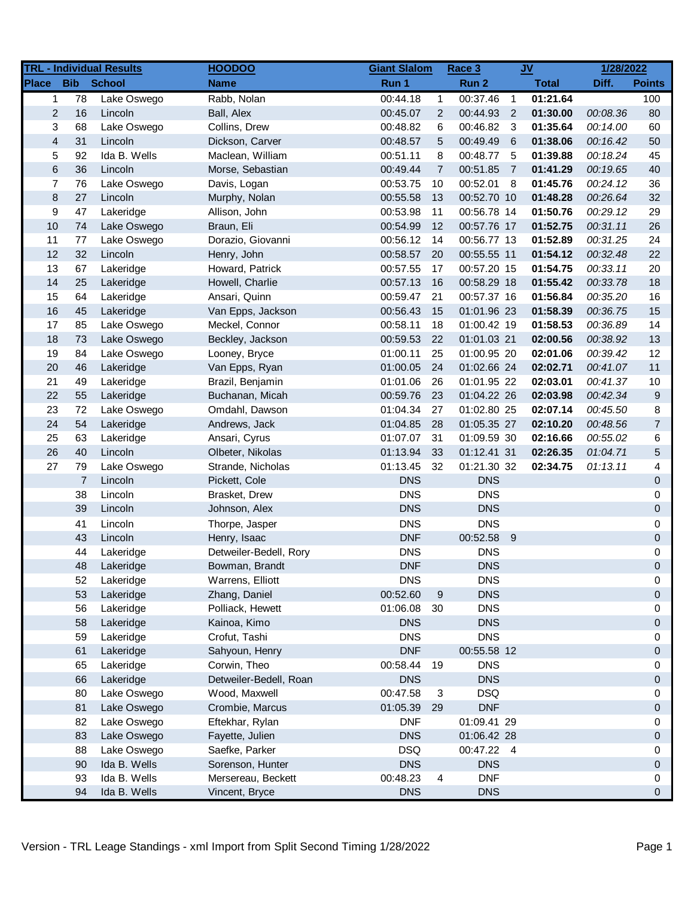|                  |                | <b>TRL - Individual Results</b> | <b>HOODOO</b>          | <b>Giant Slalom</b> |                | Race 3      |                         | $JV$         | 1/28/2022 |                |
|------------------|----------------|---------------------------------|------------------------|---------------------|----------------|-------------|-------------------------|--------------|-----------|----------------|
| <b>Place</b>     | <b>Bib</b>     | <b>School</b>                   | <b>Name</b>            | Run 1               |                | Run 2       |                         | <b>Total</b> | Diff.     | <b>Points</b>  |
| 1                | 78             | Lake Oswego                     | Rabb, Nolan            | 00:44.18            | $\mathbf{1}$   | 00:37.46    | $\overline{1}$          | 01:21.64     |           | 100            |
| $\mathbf{2}$     | 16             | Lincoln                         | Ball, Alex             | 00:45.07            | $\overline{2}$ | 00:44.93    | $\overline{2}$          | 01:30.00     | 00:08.36  | 80             |
| 3                | 68             | Lake Oswego                     | Collins, Drew          | 00:48.82            | 6              | 00:46.82    | $\overline{\mathbf{3}}$ | 01:35.64     | 00:14.00  | 60             |
| $\overline{4}$   | 31             | Lincoln                         | Dickson, Carver        | 00:48.57            | 5              | 00:49.49    | - 6                     | 01:38.06     | 00:16.42  | 50             |
| 5                | 92             | Ida B. Wells                    | Maclean, William       | 00:51.11            | 8              | 00:48.77    | - 5                     | 01:39.88     | 00:18.24  | 45             |
| $\,6$            | 36             | Lincoln                         | Morse, Sebastian       | 00:49.44            | $\overline{7}$ | 00:51.85    | $\overline{7}$          | 01:41.29     | 00:19.65  | 40             |
| $\boldsymbol{7}$ | 76             | Lake Oswego                     | Davis, Logan           | 00:53.75            | 10             | 00:52.01    | - 8                     | 01:45.76     | 00:24.12  | 36             |
| $\bf 8$          | 27             | Lincoln                         | Murphy, Nolan          | 00:55.58            | 13             | 00:52.70 10 |                         | 01:48.28     | 00:26.64  | 32             |
| 9                | 47             | Lakeridge                       | Allison, John          | 00:53.98            | 11             | 00:56.78 14 |                         | 01:50.76     | 00:29.12  | 29             |
| 10               | 74             | Lake Oswego                     | Braun, Eli             | 00:54.99            | 12             | 00:57.76 17 |                         | 01:52.75     | 00:31.11  | 26             |
| 11               | 77             | Lake Oswego                     | Dorazio, Giovanni      | 00:56.12            | 14             | 00:56.77 13 |                         | 01:52.89     | 00:31.25  | 24             |
| 12               | 32             | Lincoln                         | Henry, John            | 00:58.57            | 20             | 00:55.55 11 |                         | 01:54.12     | 00:32.48  | 22             |
| 13               | 67             | Lakeridge                       | Howard, Patrick        | 00:57.55            | 17             | 00:57.20 15 |                         | 01:54.75     | 00:33.11  | 20             |
| 14               | 25             | Lakeridge                       | Howell, Charlie        | 00:57.13            | 16             | 00:58.29 18 |                         | 01:55.42     | 00:33.78  | 18             |
| 15               | 64             | Lakeridge                       | Ansari, Quinn          | 00:59.47            | 21             | 00:57.37 16 |                         | 01:56.84     | 00:35.20  | 16             |
| 16               | 45             | Lakeridge                       | Van Epps, Jackson      | 00:56.43            | 15             | 01:01.96 23 |                         | 01:58.39     | 00:36.75  | 15             |
| 17               | 85             | Lake Oswego                     | Meckel, Connor         | 00:58.11            | 18             | 01:00.42 19 |                         | 01:58.53     | 00:36.89  | 14             |
| 18               | 73             | Lake Oswego                     | Beckley, Jackson       | 00:59.53            | 22             | 01:01.03 21 |                         | 02:00.56     | 00:38.92  | 13             |
| 19               | 84             | Lake Oswego                     | Looney, Bryce          | 01:00.11            | 25             | 01:00.95 20 |                         | 02:01.06     | 00:39.42  | 12             |
| 20               | 46             | Lakeridge                       | Van Epps, Ryan         | 01:00.05            | 24             | 01:02.66 24 |                         | 02:02.71     | 00:41.07  | 11             |
| 21               | 49             | Lakeridge                       | Brazil, Benjamin       | 01:01.06            | 26             | 01:01.95 22 |                         | 02:03.01     | 00:41.37  | 10             |
| 22               | 55             | Lakeridge                       | Buchanan, Micah        | 00:59.76            | 23             | 01:04.22 26 |                         | 02:03.98     | 00:42.34  | 9              |
| 23               | 72             | Lake Oswego                     | Omdahl, Dawson         | 01:04.34            | 27             | 01:02.80 25 |                         | 02:07.14     | 00:45.50  | 8              |
| 24               | 54             | Lakeridge                       | Andrews, Jack          | 01:04.85            | 28             | 01:05.35 27 |                         | 02:10.20     | 00:48.56  | $\overline{7}$ |
| 25               | 63             | Lakeridge                       | Ansari, Cyrus          | 01:07.07            | 31             | 01:09.59 30 |                         | 02:16.66     | 00:55.02  | 6              |
| 26               | 40             | Lincoln                         | Olbeter, Nikolas       | 01:13.94            | 33             | 01:12.41 31 |                         | 02:26.35     | 01:04.71  | 5              |
| 27               | 79             | Lake Oswego                     | Strande, Nicholas      | 01:13.45            | 32             | 01:21.30 32 |                         | 02:34.75     | 01:13.11  | 4              |
|                  | $\overline{7}$ | Lincoln                         | Pickett, Cole          | <b>DNS</b>          |                | <b>DNS</b>  |                         |              |           | 0              |
|                  | 38             | Lincoln                         | Brasket, Drew          | <b>DNS</b>          |                | <b>DNS</b>  |                         |              |           | 0              |
|                  | 39             | Lincoln                         | Johnson, Alex          | <b>DNS</b>          |                | <b>DNS</b>  |                         |              |           | 0              |
|                  | 41             | Lincoln                         | Thorpe, Jasper         | <b>DNS</b>          |                | <b>DNS</b>  |                         |              |           | 0              |
|                  | 43             | Lincoln                         | Henry, Isaac           | <b>DNF</b>          |                | 00:52.58 9  |                         |              |           | 0              |
|                  | 44             | Lakeridge                       | Detweiler-Bedell, Rory | <b>DNS</b>          |                | <b>DNS</b>  |                         |              |           | 0              |
|                  | 48             | Lakeridge                       | Bowman, Brandt         | <b>DNF</b>          |                | <b>DNS</b>  |                         |              |           | $\Omega$       |
|                  | 52             | Lakeridge                       | Warrens, Elliott       | <b>DNS</b>          |                | <b>DNS</b>  |                         |              |           | 0              |
|                  | 53             | Lakeridge                       | Zhang, Daniel          | 00:52.60            | 9              | <b>DNS</b>  |                         |              |           | 0              |
|                  | 56             | Lakeridge                       | Polliack, Hewett       | 01:06.08            | 30             | <b>DNS</b>  |                         |              |           | 0              |
|                  | 58             | Lakeridge                       | Kainoa, Kimo           | <b>DNS</b>          |                | <b>DNS</b>  |                         |              |           | 0              |
|                  | 59             | Lakeridge                       | Crofut, Tashi          | <b>DNS</b>          |                | <b>DNS</b>  |                         |              |           | 0              |
|                  | 61             | Lakeridge                       | Sahyoun, Henry         | <b>DNF</b>          |                | 00:55.58 12 |                         |              |           | 0              |
|                  | 65             | Lakeridge                       | Corwin, Theo           | 00:58.44            | 19             | <b>DNS</b>  |                         |              |           | 0              |
|                  | 66             | Lakeridge                       | Detweiler-Bedell, Roan | <b>DNS</b>          |                | <b>DNS</b>  |                         |              |           | 0              |
|                  | 80             | Lake Oswego                     | Wood, Maxwell          | 00:47.58            | 3              | <b>DSQ</b>  |                         |              |           | 0              |
|                  | 81             | Lake Oswego                     | Crombie, Marcus        | 01:05.39            | 29             | <b>DNF</b>  |                         |              |           | 0              |
|                  | 82             | Lake Oswego                     | Eftekhar, Rylan        | <b>DNF</b>          |                | 01:09.41 29 |                         |              |           | 0              |
|                  | 83             | Lake Oswego                     | Fayette, Julien        | <b>DNS</b>          |                | 01:06.42 28 |                         |              |           | 0              |
|                  | 88             | Lake Oswego                     | Saefke, Parker         | <b>DSQ</b>          |                | 00:47.22 4  |                         |              |           | 0              |
|                  | 90             | Ida B. Wells                    | Sorenson, Hunter       | <b>DNS</b>          |                | <b>DNS</b>  |                         |              |           | 0              |
|                  | 93             | Ida B. Wells                    | Mersereau, Beckett     | 00:48.23            | 4              | <b>DNF</b>  |                         |              |           | 0              |
|                  | 94             | Ida B. Wells                    | Vincent, Bryce         | <b>DNS</b>          |                | <b>DNS</b>  |                         |              |           | 0              |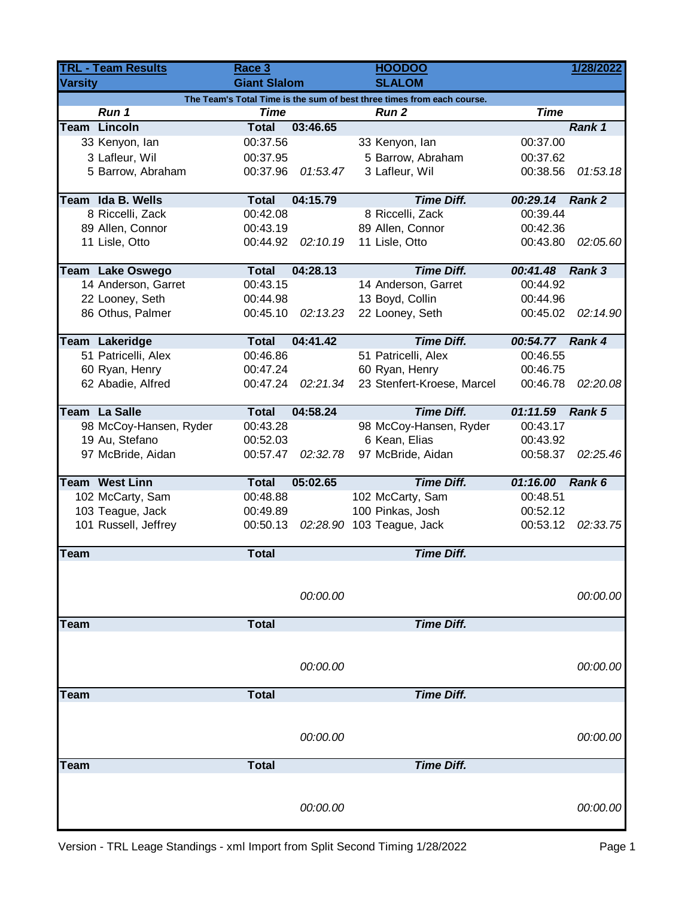| <b>TRL - Team Results</b> |                         | Race 3              |          | <b>HOODOO</b>                                                          | 1/28/2022   |               |
|---------------------------|-------------------------|---------------------|----------|------------------------------------------------------------------------|-------------|---------------|
| <b>Varsity</b>            |                         | <b>Giant Slalom</b> |          | <b>SLALOM</b>                                                          |             |               |
|                           |                         |                     |          | The Team's Total Time is the sum of best three times from each course. |             |               |
|                           | Run 1                   | <b>Time</b>         |          | Run <sub>2</sub>                                                       | <b>Time</b> |               |
|                           | Team Lincoln            | <b>Total</b>        | 03:46.65 |                                                                        |             | Rank 1        |
|                           | 33 Kenyon, lan          | 00:37.56            |          | 33 Kenyon, lan                                                         | 00:37.00    |               |
|                           | 3 Lafleur, Wil          | 00:37.95            |          | 5 Barrow, Abraham                                                      | 00:37.62    |               |
|                           | 5 Barrow, Abraham       | 00:37.96            | 01:53.47 | 3 Lafleur, Wil                                                         | 00:38.56    | 01:53.18      |
|                           | Team Ida B. Wells       | <b>Total</b>        | 04:15.79 | <b>Time Diff.</b>                                                      | 00:29.14    | Rank 2        |
|                           | 8 Riccelli, Zack        | 00:42.08            |          | 8 Riccelli, Zack                                                       | 00:39.44    |               |
|                           | 89 Allen, Connor        | 00:43.19            |          | 89 Allen, Connor                                                       | 00:42.36    |               |
|                           | 11 Lisle, Otto          | 00:44.92            | 02:10.19 | 11 Lisle, Otto                                                         | 00:43.80    | 02:05.60      |
|                           | <b>Team Lake Oswego</b> | <b>Total</b>        | 04:28.13 | <b>Time Diff.</b>                                                      | 00:41.48    | <b>Rank 3</b> |
|                           | 14 Anderson, Garret     | 00:43.15            |          | 14 Anderson, Garret                                                    | 00:44.92    |               |
|                           | 22 Looney, Seth         | 00:44.98            |          | 13 Boyd, Collin                                                        | 00:44.96    |               |
|                           | 86 Othus, Palmer        | 00:45.10            | 02:13.23 | 22 Looney, Seth                                                        | 00:45.02    | 02:14.90      |
|                           | <b>Team Lakeridge</b>   | <b>Total</b>        | 04:41.42 | <b>Time Diff.</b>                                                      | 00:54.77    | Rank 4        |
|                           | 51 Patricelli, Alex     | 00:46.86            |          | 51 Patricelli, Alex                                                    | 00:46.55    |               |
|                           | 60 Ryan, Henry          | 00:47.24            |          | 60 Ryan, Henry                                                         | 00:46.75    |               |
|                           | 62 Abadie, Alfred       | 00:47.24            | 02:21.34 | 23 Stenfert-Kroese, Marcel                                             | 00:46.78    | 02:20.08      |
|                           |                         |                     |          |                                                                        |             |               |
|                           | Team La Salle           | <b>Total</b>        | 04:58.24 | <b>Time Diff.</b>                                                      | 01:11.59    | Rank 5        |
|                           | 98 McCoy-Hansen, Ryder  | 00:43.28            |          | 98 McCoy-Hansen, Ryder                                                 | 00:43.17    |               |
|                           | 19 Au, Stefano          | 00:52.03            |          | 6 Kean, Elias                                                          | 00:43.92    |               |
|                           | 97 McBride, Aidan       | 00:57.47            | 02:32.78 | 97 McBride, Aidan                                                      | 00:58.37    | 02:25.46      |
|                           | <b>Team West Linn</b>   | <b>Total</b>        | 05:02.65 | <b>Time Diff.</b>                                                      | 01:16.00    | Rank 6        |
|                           | 102 McCarty, Sam        | 00:48.88            |          | 102 McCarty, Sam                                                       | 00:48.51    |               |
|                           | 103 Teague, Jack        | 00:49.89            |          | 100 Pinkas, Josh                                                       | 00:52.12    |               |
|                           | 101 Russell, Jeffrey    | 00:50.13            |          | 02:28.90 103 Teague, Jack                                              | 00:53.12    | 02:33.75      |
|                           |                         |                     |          |                                                                        |             |               |
| <b>Team</b>               |                         | <b>Total</b>        |          | <b>Time Diff.</b>                                                      |             |               |
|                           |                         |                     |          |                                                                        |             |               |
|                           |                         |                     | 00:00.00 |                                                                        |             | 00:00.00      |
| <b>Team</b>               |                         | <b>Total</b>        |          | <b>Time Diff.</b>                                                      |             |               |
|                           |                         |                     |          |                                                                        |             |               |
|                           |                         |                     |          |                                                                        |             |               |
|                           |                         |                     | 00:00.00 |                                                                        |             | 00:00.00      |
| Team                      |                         | <b>Total</b>        |          | <b>Time Diff.</b>                                                      |             |               |
|                           |                         |                     |          |                                                                        |             |               |
|                           |                         |                     | 00:00.00 |                                                                        |             | 00:00.00      |
|                           |                         |                     |          |                                                                        |             |               |
| <b>Team</b>               |                         | <b>Total</b>        |          | <b>Time Diff.</b>                                                      |             |               |
|                           |                         |                     |          |                                                                        |             |               |
|                           |                         |                     | 00:00.00 |                                                                        |             | 00:00.00      |
|                           |                         |                     |          |                                                                        |             |               |